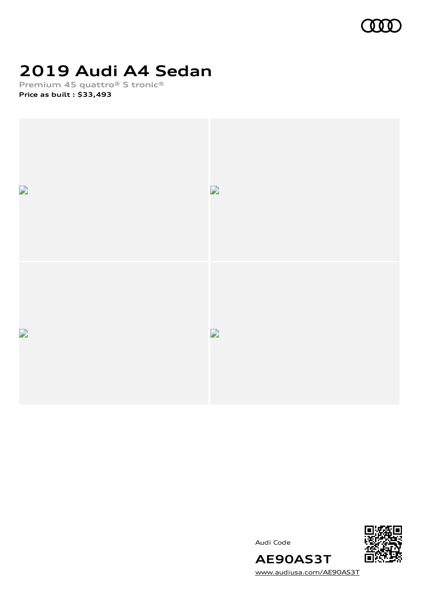

## **2019 Audi A4 Sedan**

**Premium 45 quattro® S tronic® Price as built [:](#page-10-0) \$33,493**







[www.audiusa.com/AE90AS3T](https://www.audiusa.com/AE90AS3T)

**AE90AS3T**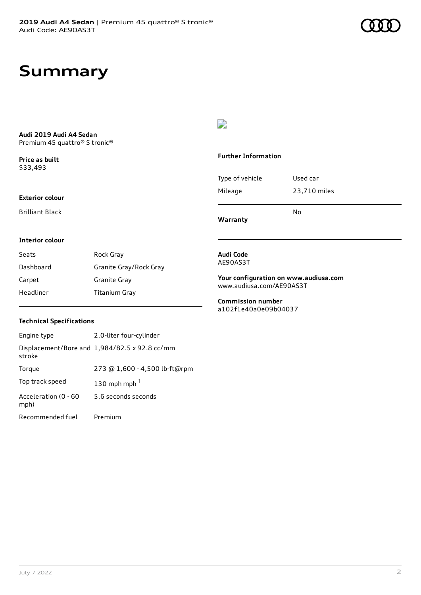### **Summary**

#### **Audi 2019 Audi A4 Sedan** Premium 45 quattro® S tronic®

**Price as buil[t](#page-10-0)** \$33,493

#### **Exterior colour**

Brilliant Black

### $\overline{\phantom{a}}$

#### **Further Information**

|                 | N٥           |
|-----------------|--------------|
| Mileage         | 23,710 miles |
| Type of vehicle | Used car     |

**Warranty**

#### **Interior colour**

| Seats     | Rock Gray              |
|-----------|------------------------|
| Dashboard | Granite Gray/Rock Gray |
| Carpet    | Granite Gray           |
| Headliner | Titanium Gray          |

#### **Audi Code** AE90AS3T

**Your configuration on www.audiusa.com** [www.audiusa.com/AE90AS3T](https://www.audiusa.com/AE90AS3T)

**Commission number** a102f1e40a0e09b04037

#### **Technical Specifications**

| Engine type                  | 2.0-liter four-cylinder                       |
|------------------------------|-----------------------------------------------|
| stroke                       | Displacement/Bore and 1,984/82.5 x 92.8 cc/mm |
| Torque                       | 273 @ 1,600 - 4,500 lb-ft@rpm                 |
| Top track speed              | 130 mph mph $1$                               |
| Acceleration (0 - 60<br>mph) | 5.6 seconds seconds                           |
| Recommended fuel             | Premium                                       |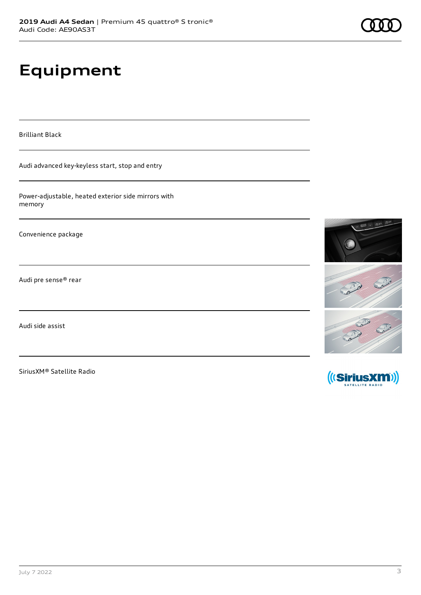# **Equipment**

Brilliant Black

Audi advanced key-keyless start, stop and entry

Power-adjustable, heated exterior side mirrors with memory

Convenience package

Audi pre sense® rear

Audi side assist

SiriusXM® Satellite Radio



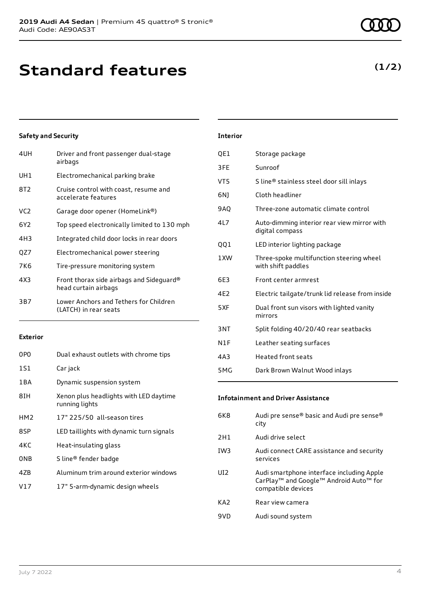## **Standard features**

| 4UH             | Driver and front passenger dual-stage<br>airbags                 |
|-----------------|------------------------------------------------------------------|
| UH1             | Electromechanical parking brake                                  |
| 8T2             | Cruise control with coast, resume and<br>accelerate features     |
| VC <sub>2</sub> | Garage door opener (HomeLink®)                                   |
| 6Y <sub>2</sub> | Top speed electronically limited to 130 mph                      |
| 4H3             | Integrated child door locks in rear doors                        |
| QZ7             | Electromechanical power steering                                 |
| 7K6             | Tire-pressure monitoring system                                  |
| 4X3             | Front thorax side airbags and Sideguard®<br>head curtain airbags |
| 3B7             | Lower Anchors and Tethers for Children<br>(LATCH) in rear seats  |
|                 |                                                                  |

#### **Exterior**

| 0PO             | Dual exhaust outlets with chrome tips                    |
|-----------------|----------------------------------------------------------|
| 1S1             | Car jack                                                 |
| 1 B A           | Dynamic suspension system                                |
| 8IH             | Xenon plus headlights with LED daytime<br>running lights |
| HM <sub>2</sub> | 17" 225/50 all-season tires                              |
| 8SP             | LED taillights with dynamic turn signals                 |
| 4KC             | Heat-insulating glass                                    |
| 0 <sub>NB</sub> | S line® fender badge                                     |
| 47B             | Aluminum trim around exterior windows                    |
| V17             | 17" 5-arm-dynamic design wheels                          |

### **Interior** QE1 Storage package 3FE Sunroof VT5 S line® stainless steel door sill inlays 6NJ Cloth headliner 9AQ Three-zone automatic climate control 4L7 Auto-dimming interior rear view mirror with digital compass QQ1 LED interior lighting package 1XW Three-spoke multifunction steering wheel with shift paddles 6E3 Front center armrest 4E2 Electric tailgate/trunk lid release from inside 5XF Dual front sun visors with lighted vanity mirrors 3NT Split folding 40/20/40 rear seatbacks

- N1F Leather seating surfaces
- 4A3 Heated front seats
- 5MG Dark Brown Walnut Wood inlays

#### **Infotainment and Driver Assistance**

| 6K8             | Audi pre sense® basic and Audi pre sense®<br>city                                                                     |
|-----------------|-----------------------------------------------------------------------------------------------------------------------|
| 2H1             | Audi drive select                                                                                                     |
| IW <sub>3</sub> | Audi connect CARE assistance and security<br>services                                                                 |
| UI2             | Audi smartphone interface including Apple<br>CarPlay <sup>™</sup> and Google™ Android Auto™ for<br>compatible devices |
| KA <sub>2</sub> | Rear view camera                                                                                                      |
| 9VD             | Audi sound system                                                                                                     |

### **(1/2)**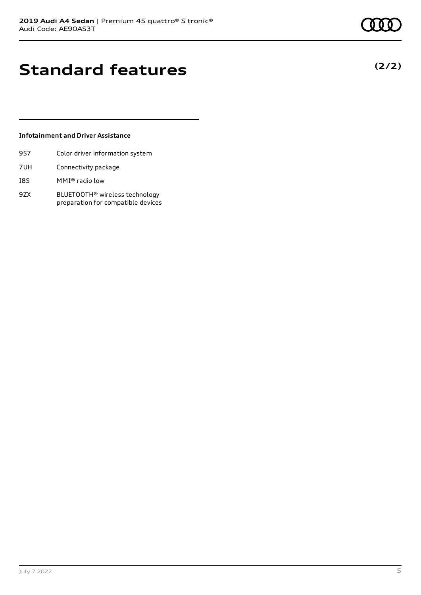**(2/2)**

### **Standard features**

### **Infotainment and Driver Assistance**

- 9S7 Color driver information system
- 7UH Connectivity package
- I8S MMI® radio low
- 9ZX BLUETOOTH® wireless technology preparation for compatible devices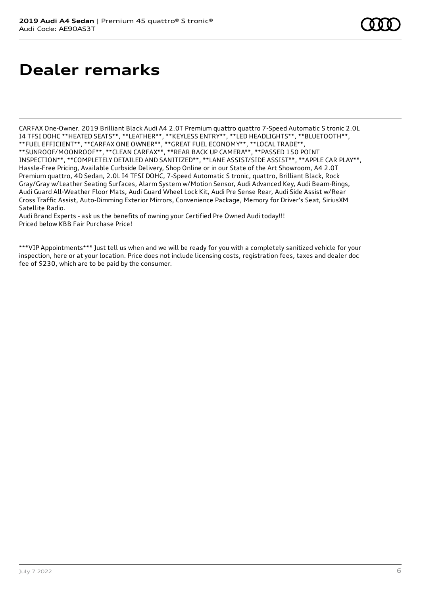### **Dealer remarks**

CARFAX One-Owner. 2019 Brilliant Black Audi A4 2.0T Premium quattro quattro 7-Speed Automatic S tronic 2.0L I4 TFSI DOHC \*\*HEATED SEATS\*\*, \*\*LEATHER\*\*, \*\*KEYLESS ENTRY\*\*, \*\*LED HEADLIGHTS\*\*, \*\*BLUETOOTH\*\*, \*\*FUEL EFFICIENT\*\*, \*\*CARFAX ONE OWNER\*\*, \*\*GREAT FUEL ECONOMY\*\*, \*\*LOCAL TRADE\*\*, \*\*SUNROOF/MOONROOF\*\*, \*\*CLEAN CARFAX\*\*, \*\*REAR BACK UP CAMERA\*\*, \*\*PASSED 150 POINT INSPECTION\*\*, \*\*COMPLETELY DETAILED AND SANITIZED\*\*, \*\*LANE ASSIST/SIDE ASSIST\*\*, \*\*APPLE CAR PLAY\*\*, Hassle-Free Pricing, Available Curbside Delivery, Shop Online or in our State of the Art Showroom, A4 2.0T Premium quattro, 4D Sedan, 2.0L I4 TFSI DOHC, 7-Speed Automatic S tronic, quattro, Brilliant Black, Rock Gray/Gray w/Leather Seating Surfaces, Alarm System w/Motion Sensor, Audi Advanced Key, Audi Beam-Rings, Audi Guard All-Weather Floor Mats, Audi Guard Wheel Lock Kit, Audi Pre Sense Rear, Audi Side Assist w/Rear Cross Traffic Assist, Auto-Dimming Exterior Mirrors, Convenience Package, Memory for Driver's Seat, SiriusXM Satellite Radio.

Audi Brand Experts - ask us the benefits of owning your Certified Pre Owned Audi today!!! Priced below KBB Fair Purchase Price!

\*\*\*VIP Appointments\*\*\* Just tell us when and we will be ready for you with a completely sanitized vehicle for your inspection, here or at your location. Price does not include licensing costs, registration fees, taxes and dealer doc fee of \$230, which are to be paid by the consumer.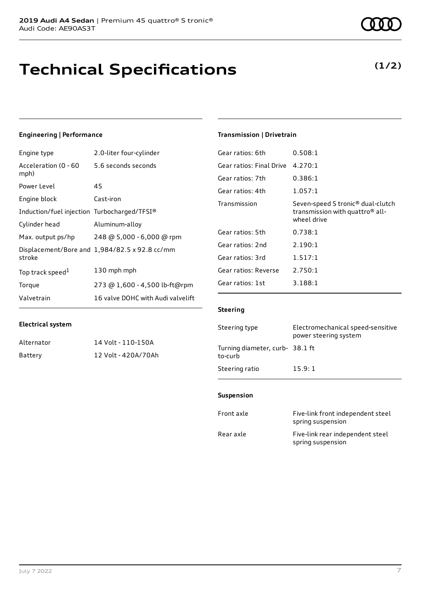## **Technical Specifications**

### **Engineering | Performance**

| Engine type                                 | 2.0-liter four-cylinder                       |
|---------------------------------------------|-----------------------------------------------|
| Acceleration (0 - 60<br>mph)                | 5.6 seconds seconds                           |
| Power Level                                 | 45                                            |
| Engine block                                | Cast-iron                                     |
| Induction/fuel injection Turbocharged/TFSI® |                                               |
| Cylinder head                               | Aluminum-alloy                                |
| Max. output ps/hp                           | 248 @ 5,000 - 6,000 @ rpm                     |
| stroke                                      | Displacement/Bore and 1,984/82.5 x 92.8 cc/mm |
| Top track speed <sup>1</sup>                | 130 mph mph                                   |
| Torque                                      | 273 @ 1,600 - 4,500 lb-ft@rpm                 |
| Valvetrain                                  | 16 valve DOHC with Audi valvelift             |

### **Transmission | Drivetrain**

| Gear ratios: 6th         | 0.508:1                                                                                                     |
|--------------------------|-------------------------------------------------------------------------------------------------------------|
| Gear ratios: Final Drive | 4.270:1                                                                                                     |
| Gear ratios: 7th         | 0.386:1                                                                                                     |
| Gear ratios: 4th         | 1.057:1                                                                                                     |
| Transmission             | Seven-speed S tronic <sup>®</sup> dual-clutch<br>transmission with quattro <sup>®</sup> all-<br>wheel drive |
| Gear ratios: 5th         | 0.738:1                                                                                                     |
| Gear ratios: 2nd         | 2.190:1                                                                                                     |
| Gear ratios: 3rd         | 1.517:1                                                                                                     |
| Gear ratios: Reverse     | 2.750:1                                                                                                     |
| Gear ratios: 1st         | 3.188:1                                                                                                     |
|                          |                                                                                                             |

### **Steering**

| Steering type                             | Electromechanical speed-sensitive<br>power steering system |
|-------------------------------------------|------------------------------------------------------------|
| Turning diameter, curb-38.1 ft<br>to-curb |                                                            |
| Steering ratio                            | 15.9:1                                                     |

#### **Suspension**

| Front axle | Five-link front independent steel<br>spring suspension |
|------------|--------------------------------------------------------|
| Rear axle  | Five-link rear independent steel<br>spring suspension  |

Alternator **Battery** 

| 14 Volt - 110-150A  |
|---------------------|
| 12 Volt - 420A/70Ah |

**(1/2)**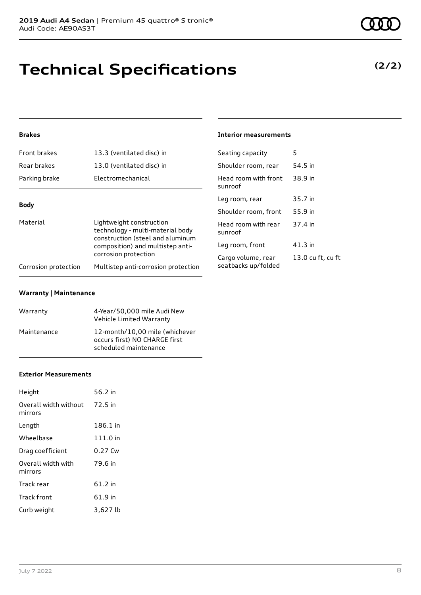## **Technical Specifications**

### **(2/2)**

### **Brakes**

| Front brakes                                                                                                                                                             | 13.3 (ventilated disc) in           | Seating capacity                | 5       |
|--------------------------------------------------------------------------------------------------------------------------------------------------------------------------|-------------------------------------|---------------------------------|---------|
| Rear brakes                                                                                                                                                              | 13.0 (ventilated disc) in           | Shoulder room, rear             | 54.5 in |
| Parking brake                                                                                                                                                            | Electromechanical                   | Head room with front<br>sunroof | 38.9 in |
|                                                                                                                                                                          |                                     | Leg room, rear                  | 35.7 in |
| <b>Body</b>                                                                                                                                                              |                                     | Shoulder room, front            | 55.9 in |
| Material<br>Lightweight construction<br>technology - multi-material body<br>construction (steel and aluminum<br>composition) and multistep anti-<br>corrosion protection | Head room with rear<br>sunroof      | 37.4 in                         |         |
|                                                                                                                                                                          |                                     | Leg room, front                 | 41.3 in |
|                                                                                                                                                                          |                                     | Cargo volume, rear              | 13.0 cu |
| Corrosion protection                                                                                                                                                     | Multistep anti-corrosion protection | seatbacks up/folded             |         |

**Interior measurements**

13.0 cu ft, cu ft

#### **Warranty | Maintenance**

| Warranty    | 4-Year/50,000 mile Audi New<br>Vehicle Limited Warranty                                  |
|-------------|------------------------------------------------------------------------------------------|
| Maintenance | 12-month/10,00 mile (whichever<br>occurs first) NO CHARGE first<br>scheduled maintenance |

#### **Exterior Measurements**

| Height                                   | 56.2 in  |
|------------------------------------------|----------|
| Overall width without 72.5 in<br>mirrors |          |
| Length                                   | 186.1 in |
| Wheelbase                                | 111.0 in |
| Drag coefficient                         | 0.27 Cw  |
| Overall width with<br>mirrors            | 79.6 in  |
| Track rear                               | 61.2 in  |
| Track front                              | 61.9 in  |
| Curb weight                              | 3,627 lb |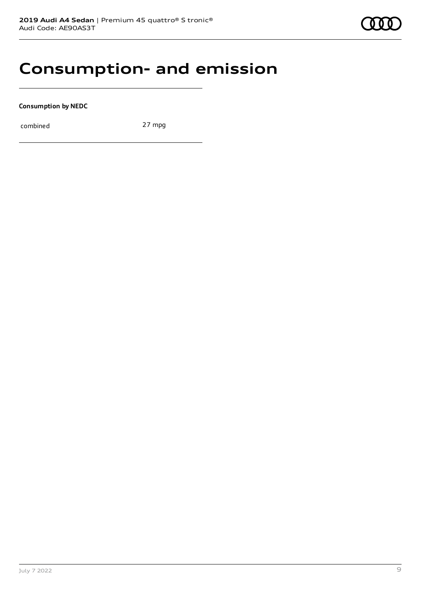### **Consumption- and emission**

**Consumption by NEDC**

combined 27 mpg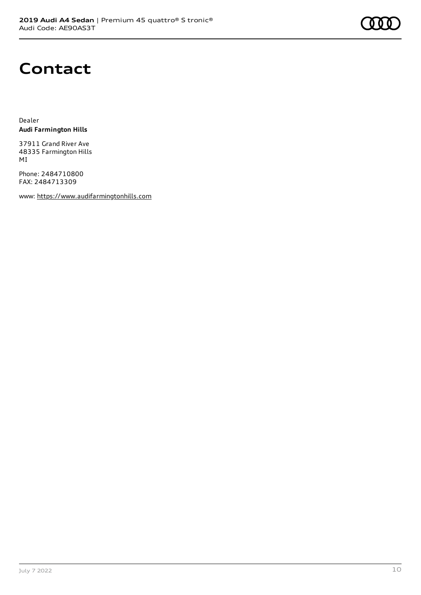### **Contact**

Dealer **Audi Farmington Hills**

37911 Grand River Ave 48335 Farmington Hills MI

Phone: 2484710800 FAX: 2484713309

www: [https://www.audifarmingtonhills.com](https://www.audifarmingtonhills.com/)